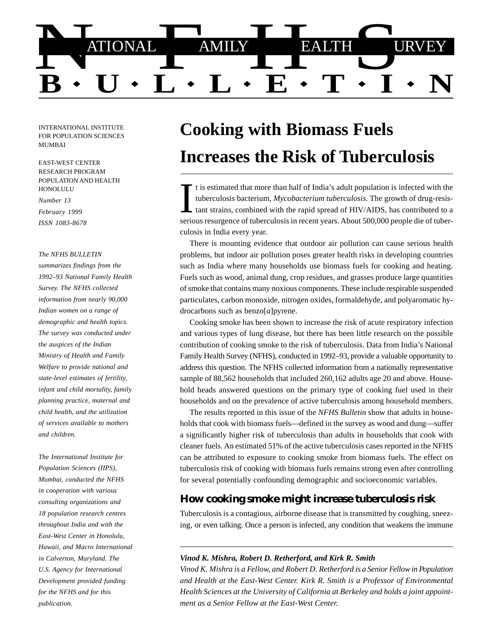

INTERNATIONAL INSTITUTE FOR POPULATION SCIENCES MUMBAI

EAST-WEST CENTER RESEARCH PROGRAM POPULATION AND HEALTH HONOLULU

*Number 13 February 1999*

*ISSN 1083-8678*

#### *The NFHS BULLETIN*

*summarizes findings from the 1992–93 National Family Health Survey. The NFHS collected information from nearly 90,000 Indian women on a range of demographic and health topics. The survey was conducted under the auspices of the Indian Ministry of Health and Family Welfare to provide national and state-level estimates of fertility, infant and child mortality, family planning practice, maternal and child health, and the utilization of services available to mothers and children.*

*The International Institute for Population Sciences (IIPS), Mumbai, conducted the NFHS in cooperation with various consulting organizations and 18 population research centres throughout India and with the East-West Center in Honolulu, Hawaii, and Macro International in Calverton, Maryland. The U.S. Agency for International Development provided funding for the NFHS and for this publication.*

# **Cooking with Biomass Fuels Increases the Risk of Tuberculosis**

t is estimated that more than half of India's adult population is infected with the<br>tuberculosis bacterium, *Mycobacterium tuberculosis*. The growth of drug-resis-<br>tant strains, combined with the rapid spread of HIV/AIDS, serious resurgence of tuberculosis in recent years. About 500,000 people die of tuberculosis in India every year.

There is mounting evidence that outdoor air pollution can cause serious health problems, but indoor air pollution poses greater health risks in developing countries such as India where many households use biomass fuels for cooking and heating. Fuels such as wood, animal dung, crop residues, and grasses produce large quantities of smoke that contains many noxious components. These include respirable suspended particulates, carbon monoxide, nitrogen oxides, formaldehyde, and polyaromatic hydrocarbons such as benzo[*a*]pyrene.

Cooking smoke has been shown to increase the risk of acute respiratory infection and various types of lung disease, but there has been little research on the possible contribution of cooking smoke to the risk of tuberculosis. Data from India's National Family Health Survey (NFHS), conducted in 1992–93, provide a valuable opportunity to address this question. The NFHS collected information from a nationally representative sample of 88,562 households that included 260,162 adults age 20 and above. Household heads answered questions on the primary type of cooking fuel used in their households and on the prevalence of active tuberculosis among household members.

The results reported in this issue of the *NFHS Bulletin* show that adults in households that cook with biomass fuels—defined in the survey as wood and dung—suffer a significantly higher risk of tuberculosis than adults in households that cook with cleaner fuels. An estimated 51% of the active tuberculosis cases reported in the NFHS can be attributed to exposure to cooking smoke from biomass fuels. The effect on tuberculosis risk of cooking with biomass fuels remains strong even after controlling for several potentially confounding demographic and socioeconomic variables.

## **How cooking smoke might increase tuberculosis risk**

Tuberculosis is a contagious, airborne disease that is transmitted by coughing, sneezing, or even talking. Once a person is infected, any condition that weakens the immune

#### *Vinod K. Mishra, Robert D. Retherford, and Kirk R. Smith*

*Vinod K. Mishra is a Fellow, and Robert D. Retherford is a Senior Fellow in Population and Health at the East-West Center. Kirk R. Smith is a Professor of Environmental Health Sciences at the University of California at Berkeley and holds a joint appointment as a Senior Fellow at the East-West Center.*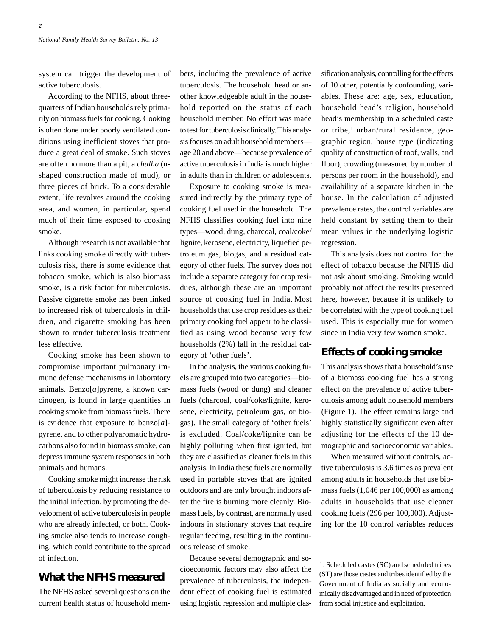system can trigger the development of active tuberculosis.

According to the NFHS, about threequarters of Indian households rely primarily on biomass fuels for cooking. Cooking is often done under poorly ventilated conditions using inefficient stoves that produce a great deal of smoke. Such stoves are often no more than a pit, a *chulha* (ushaped construction made of mud), or three pieces of brick. To a considerable extent, life revolves around the cooking area, and women, in particular, spend much of their time exposed to cooking smoke.

Although research is not available that links cooking smoke directly with tuberculosis risk, there is some evidence that tobacco smoke, which is also biomass smoke, is a risk factor for tuberculosis. Passive cigarette smoke has been linked to increased risk of tuberculosis in children, and cigarette smoking has been shown to render tuberculosis treatment less effective.

Cooking smoke has been shown to compromise important pulmonary immune defense mechanisms in laboratory animals. Benzo[*a*]pyrene, a known carcinogen, is found in large quantities in cooking smoke from biomass fuels. There is evidence that exposure to benzo[*a*] pyrene, and to other polyaromatic hydrocarbons also found in biomass smoke, can depress immune system responses in both animals and humans.

Cooking smoke might increase the risk of tuberculosis by reducing resistance to the initial infection, by promoting the development of active tuberculosis in people who are already infected, or both. Cooking smoke also tends to increase coughing, which could contribute to the spread of infection.

## **What the NFHS measured**

The NFHS asked several questions on the current health status of household mem-

bers, including the prevalence of active tuberculosis. The household head or another knowledgeable adult in the household reported on the status of each household member. No effort was made to test for tuberculosis clinically. This analysis focuses on adult household members age 20 and above—because prevalence of active tuberculosis in India is much higher in adults than in children or adolescents.

Exposure to cooking smoke is measured indirectly by the primary type of cooking fuel used in the household. The NFHS classifies cooking fuel into nine types—wood, dung, charcoal, coal/coke/ lignite, kerosene, electricity, liquefied petroleum gas, biogas, and a residual category of other fuels. The survey does not include a separate category for crop residues, although these are an important source of cooking fuel in India. Most households that use crop residues as their primary cooking fuel appear to be classified as using wood because very few households (2%) fall in the residual category of 'other fuels'.

In the analysis, the various cooking fuels are grouped into two categories—biomass fuels (wood or dung) and cleaner fuels (charcoal, coal/coke/lignite, kerosene, electricity, petroleum gas, or biogas). The small category of 'other fuels' is excluded. Coal/coke/lignite can be highly polluting when first ignited, but they are classified as cleaner fuels in this analysis. In India these fuels are normally used in portable stoves that are ignited outdoors and are only brought indoors after the fire is burning more cleanly. Biomass fuels, by contrast, are normally used indoors in stationary stoves that require regular feeding, resulting in the continuous release of smoke.

Because several demographic and socioeconomic factors may also affect the prevalence of tuberculosis, the independent effect of cooking fuel is estimated using logistic regression and multiple classification analysis, controlling for the effects of 10 other, potentially confounding, variables. These are: age, sex, education, household head's religion, household head's membership in a scheduled caste or tribe,<sup>1</sup> urban/rural residence, geographic region, house type (indicating quality of construction of roof, walls, and floor), crowding (measured by number of persons per room in the household), and availability of a separate kitchen in the house. In the calculation of adjusted prevalence rates, the control variables are held constant by setting them to their mean values in the underlying logistic regression.

This analysis does not control for the effect of tobacco because the NFHS did not ask about smoking. Smoking would probably not affect the results presented here, however, because it is unlikely to be correlated with the type of cooking fuel used. This is especially true for women since in India very few women smoke.

## **Effects of cooking smoke**

This analysis shows that a household's use of a biomass cooking fuel has a strong effect on the prevalence of active tuberculosis among adult household members (Figure 1). The effect remains large and highly statistically significant even after adjusting for the effects of the 10 demographic and socioeconomic variables.

When measured without controls, active tuberculosis is 3.6 times as prevalent among adults in households that use biomass fuels (1,046 per 100,000) as among adults in households that use cleaner cooking fuels (296 per 100,000). Adjusting for the 10 control variables reduces

<sup>1.</sup> Scheduled castes (SC) and scheduled tribes (ST) are those castes and tribes identified by the Government of India as socially and economically disadvantaged and in need of protection from social injustice and exploitation.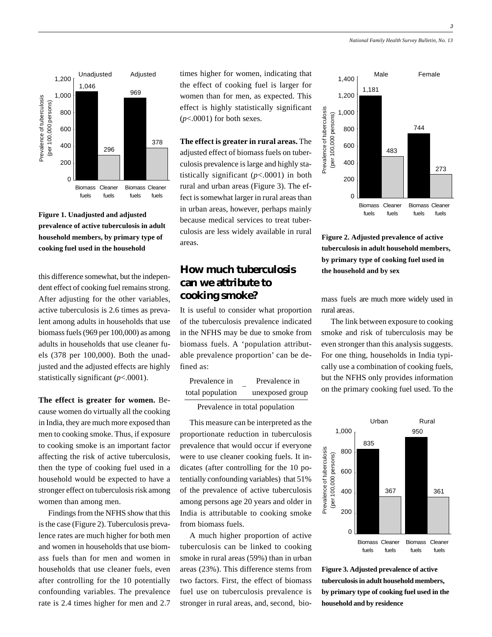

#### **Figure 1. Unadjusted and adjusted prevalence of active tuberculosis in adult household members, by primary type of cooking fuel used in the household**

this difference somewhat, but the independent effect of cooking fuel remains strong. After adjusting for the other variables, active tuberculosis is 2.6 times as prevalent among adults in households that use biomass fuels (969 per 100,000) as among adults in households that use cleaner fuels (378 per 100,000). Both the unadjusted and the adjusted effects are highly statistically significant (*p*<.0001).

**The effect is greater for women.** Because women do virtually all the cooking in India, they are much more exposed than men to cooking smoke. Thus, if exposure to cooking smoke is an important factor affecting the risk of active tuberculosis, then the type of cooking fuel used in a household would be expected to have a stronger effect on tuberculosis risk among women than among men.

Findings from the NFHS show that this is the case (Figure 2). Tuberculosis prevalence rates are much higher for both men and women in households that use biomass fuels than for men and women in households that use cleaner fuels, even after controlling for the 10 potentially confounding variables. The prevalence rate is 2.4 times higher for men and 2.7

times higher for women, indicating that the effect of cooking fuel is larger for women than for men, as expected. This effect is highly statistically significant  $(p<.0001)$  for both sexes.

**The effect is greater in rural areas.** The adjusted effect of biomass fuels on tuberculosis prevalence is large and highly statistically significant  $(p<.0001)$  in both rural and urban areas (Figure 3). The effect is somewhat larger in rural areas than in urban areas, however, perhaps mainly because medical services to treat tuberculosis are less widely available in rural areas.

# **How much tuberculosis can we attribute to cooking smoke?**

It is useful to consider what proportion of the tuberculosis prevalence indicated in the NFHS may be due to smoke from biomass fuels. A 'population attributable prevalence proportion' can be defined as:

| Prevalence in    | Prevalence in   |
|------------------|-----------------|
| total population | unexposed group |

Prevalence in total population

This measure can be interpreted as the proportionate reduction in tuberculosis prevalence that would occur if everyone were to use cleaner cooking fuels. It indicates (after controlling for the 10 potentially confounding variables) that 51% of the prevalence of active tuberculosis among persons age 20 years and older in India is attributable to cooking smoke from biomass fuels.

A much higher proportion of active tuberculosis can be linked to cooking smoke in rural areas (59%) than in urban areas (23%). This difference stems from two factors. First, the effect of biomass fuel use on tuberculosis prevalence is stronger in rural areas, and, second, bio-



**Figure 2. Adjusted prevalence of active tuberculosis in adult household members, by primary type of cooking fuel used in the household and by sex**

mass fuels are much more widely used in rural areas.

The link between exposure to cooking smoke and risk of tuberculosis may be even stronger than this analysis suggests. For one thing, households in India typically use a combination of cooking fuels, but the NFHS only provides information on the primary cooking fuel used. To the



**Figure 3. Adjusted prevalence of active tuberculosis in adult household members, by primary type of cooking fuel used in the household and by residence**